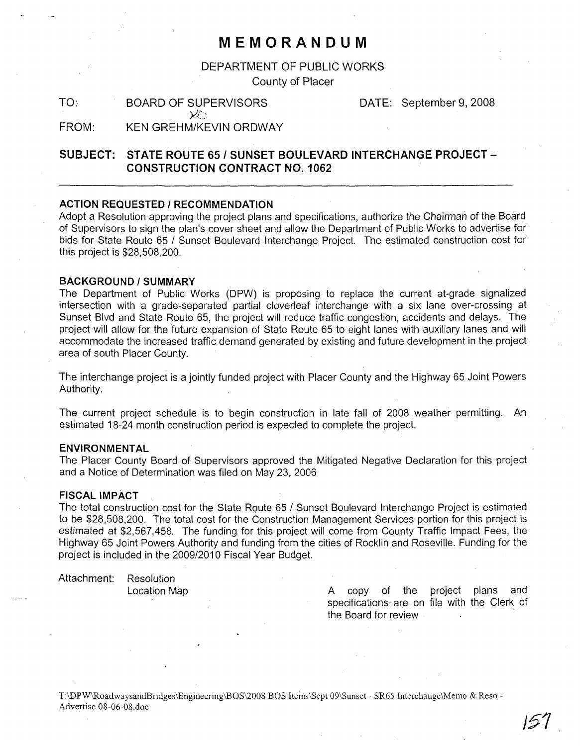## **MEMORANDUM**

DEPARTMENT OF PUBLIC WORKS County of Placer

TO: BOARD OF SUPERVISORS  $\varkappa$  ,

DATE: September 9, 2008

FROM: KEN GREHM/KEVIN ORDWAY

### **SUBJECT: STATE ROUTE 65/ SUNSET BOULEVARD INTERCHANGE PROJECT-CONSTRUCTION CONTRACT NO.1 062**

#### **ACTION REQUESTED I RECOMMENDATION**

Adopt a Resolution approving the project plans and specifications, authorize the Chairman of the Board of Supervisors to sign the plan's cover sheet and allow the Department of Public Works to advertise for bids for State Route 65 / Sunset Boulevard Interchange Project. The estimated construction cost for this project is \$28,508,200.

#### **BACKGROUND/SUMMARY**

The Department of Public Works (DPW) is proposing to replace the current at-grade signalized intersection with a grade-separated partial cloverleaf interchange with a six lane over-crossing at Sunset Blvd and State Route 65, the project will reduce traffic congestion, accidents and delays. The project will allow for the future expansion of State Route 65 to eight lanes with auxiliary lanes and will accommodate the increased traffic demand generated by existing and future development in the project area of south Placer County.

The interchange project is a jointly funded project with Placer County and the Highway 65 Joint Powers Authority.

The current project schedule is to begin construction in late fall of 2008 weather permitting. An estimated 18-24 month construction period is expected to complete the project.

#### **ENVIRONMENTAL**

The Placer County Board of Supervisors approved the Mitigated Negative Declaration for this project and a Notice of Determination was filed on May 23, 2006

#### **FISCAL IMPACT**

The total construction cost for the State Route 65 / Sunset Boulevard Interchange Project is estimated to be \$28,508,200. The total cost for the Construction Management Services portion for this project is estimated at \$2,567,458. The funding for this project will come from County Traffic Impact Fees, the Highway 65 Joint Powers Authority and funding from the cities of Rocklin and Roseville. Funding for the project is included in the 2009/2010 Fiscal Year Budget.

Attachment: Resolution

Location Map **A** copy of the project plans and specifications are on file with the Clerk of the Board for review .

T:\DPW\RoadwaysandBridges\Engineering\BOS\2008 BOS Iterns\Sept 09\Sunset - SR65 Interchange\Memo & Reso - Advertise 08-06-08.doc

**151**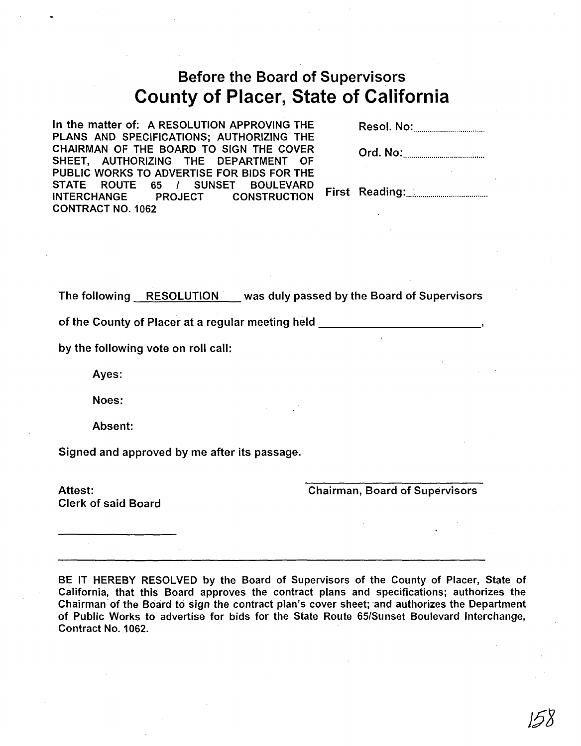# Before the Board of Supervisors County of Placer, State of California

In the matter of: A RESOLUTION APPROVING THE PLANS AND SPECIFICATIONS; AUTHORIZING THE CHAIRMAN OF THE BOARD TO SIGN THE COVER SHEET, AUTHORIZING THE DEPARTMENT OF PUBLIC WORKS TO ADVERTISE FOR BIDS FOR THE STATE ROUTE 65 / SUNSET BOULEVARD INTERCHANGE PROJECT CONSTRUCTION CONTRACT NO.1062

Resol. No: .

Ord. No: ..

First Reading: .

The following RESOLUTION was duly passed by the Board of Supervisors

of the County of Placer at a regular meeting held \_

by the following vote on roll call:

Ayes:

Noes:

Absent:

Signed and approved by me after its passage.

Attest: Clerk of said Board Chairman, Board of Supervisors

BE IT HEREBY RESOLVED by the Board of Supervisors of the County of Placer, State of California, that this Board approves the contract plans and specifications; authorizes the Chairman' of the Board to sign the contract plan's cover sheet; and authorizes the Department of Public Works to advertise for bids for the State Route 65/Sunset Boulevard Interchange, Contract No.1 062.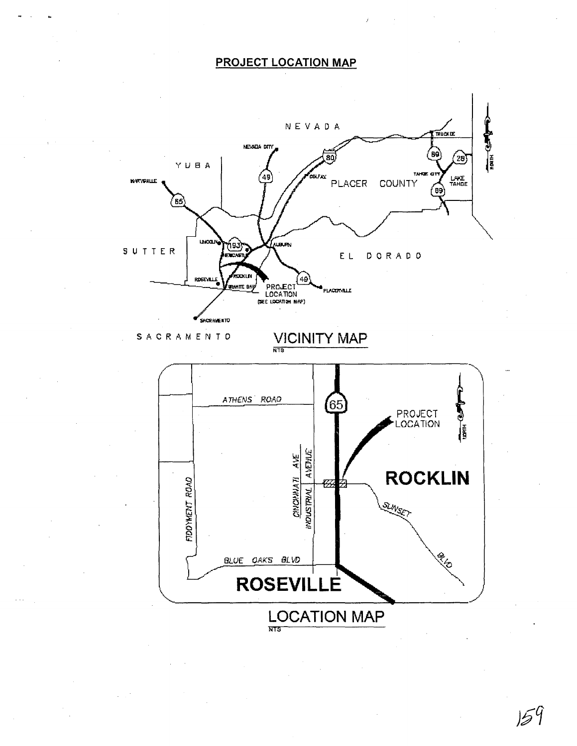## **PROJECT LOCATION MAP**



 $159$